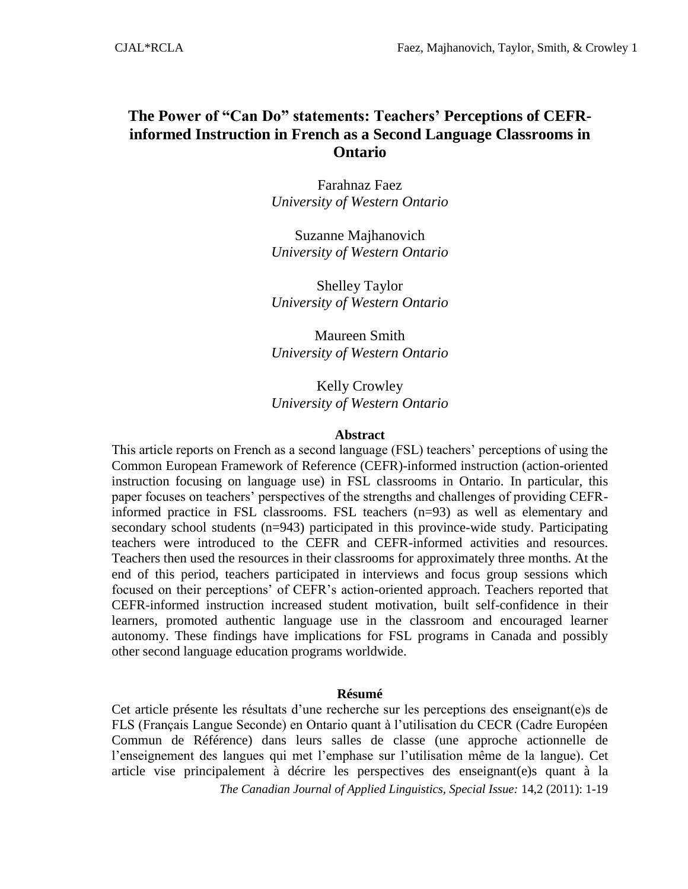# **The Power of "Can Do" statements: Teachers' Perceptions of CEFRinformed Instruction in French as a Second Language Classrooms in Ontario**

Farahnaz Faez *University of Western Ontario*

Suzanne Majhanovich *University of Western Ontario*

Shelley Taylor *University of Western Ontario*

Maureen Smith *University of Western Ontario*

Kelly Crowley *University of Western Ontario*

#### **Abstract**

This article reports on French as a second language (FSL) teachers' perceptions of using the Common European Framework of Reference (CEFR)-informed instruction (action-oriented instruction focusing on language use) in FSL classrooms in Ontario. In particular, this paper focuses on teachers' perspectives of the strengths and challenges of providing CEFRinformed practice in FSL classrooms. FSL teachers (n=93) as well as elementary and secondary school students (n=943) participated in this province-wide study. Participating teachers were introduced to the CEFR and CEFR-informed activities and resources. Teachers then used the resources in their classrooms for approximately three months. At the end of this period, teachers participated in interviews and focus group sessions which focused on their perceptions' of CEFR's action-oriented approach. Teachers reported that CEFR-informed instruction increased student motivation, built self-confidence in their learners, promoted authentic language use in the classroom and encouraged learner autonomy. These findings have implications for FSL programs in Canada and possibly other second language education programs worldwide.

#### **Résumé**

Cet article présente les résultats d'une recherche sur les perceptions des enseignant(e)s de FLS (Français Langue Seconde) en Ontario quant à l'utilisation du CECR (Cadre Européen Commun de Référence) dans leurs salles de classe (une approche actionnelle de l'enseignement des langues qui met l'emphase sur l'utilisation même de la langue). Cet article vise principalement à décrire les perspectives des enseignant(e)s quant à la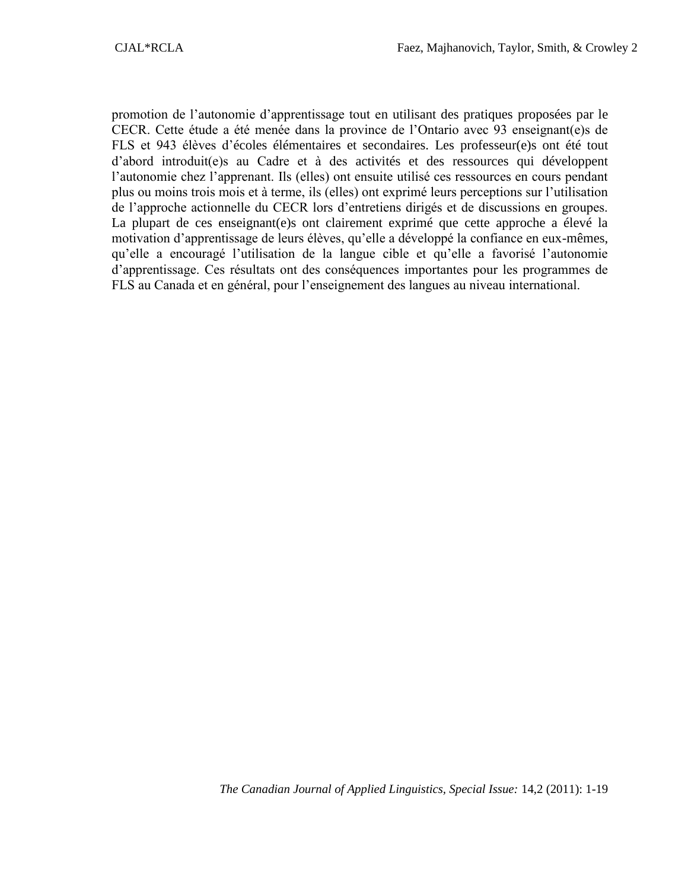promotion de l'autonomie d'apprentissage tout en utilisant des pratiques proposées par le CECR. Cette étude a été menée dans la province de l'Ontario avec 93 enseignant(e)s de FLS et 943 élèves d'écoles élémentaires et secondaires. Les professeur(e)s ont été tout d'abord introduit(e)s au Cadre et à des activités et des ressources qui développent l'autonomie chez l'apprenant. Ils (elles) ont ensuite utilisé ces ressources en cours pendant plus ou moins trois mois et à terme, ils (elles) ont exprimé leurs perceptions sur l'utilisation de l'approche actionnelle du CECR lors d'entretiens dirigés et de discussions en groupes. La plupart de ces enseignant(e)s ont clairement exprimé que cette approche a élevé la motivation d'apprentissage de leurs élèves, qu'elle a développé la confiance en eux-mêmes, qu'elle a encouragé l'utilisation de la langue cible et qu'elle a favorisé l'autonomie d'apprentissage. Ces résultats ont des conséquences importantes pour les programmes de FLS au Canada et en général, pour l'enseignement des langues au niveau international.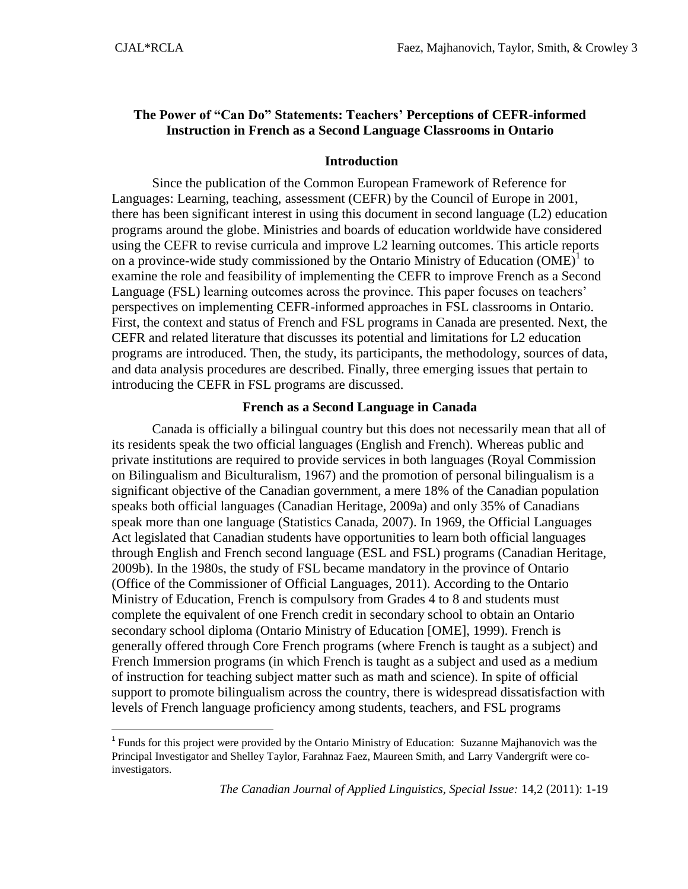$\overline{\phantom{a}}$ 

## **The Power of "Can Do" Statements: Teachers' Perceptions of CEFR-informed Instruction in French as a Second Language Classrooms in Ontario**

### **Introduction**

Since the publication of the Common European Framework of Reference for Languages: Learning, teaching, assessment (CEFR) by the Council of Europe in 2001, there has been significant interest in using this document in second language (L2) education programs around the globe. Ministries and boards of education worldwide have considered using the CEFR to revise curricula and improve L2 learning outcomes. This article reports on a province-wide study commissioned by the Ontario Ministry of Education  $(OME)^{1}$  to examine the role and feasibility of implementing the CEFR to improve French as a Second Language (FSL) learning outcomes across the province. This paper focuses on teachers' perspectives on implementing CEFR-informed approaches in FSL classrooms in Ontario. First, the context and status of French and FSL programs in Canada are presented. Next, the CEFR and related literature that discusses its potential and limitations for L2 education programs are introduced. Then, the study, its participants, the methodology, sources of data, and data analysis procedures are described. Finally, three emerging issues that pertain to introducing the CEFR in FSL programs are discussed.

### **French as a Second Language in Canada**

Canada is officially a bilingual country but this does not necessarily mean that all of its residents speak the two official languages (English and French). Whereas public and private institutions are required to provide services in both languages (Royal Commission on Bilingualism and Biculturalism, 1967) and the promotion of personal bilingualism is a significant objective of the Canadian government, a mere 18% of the Canadian population speaks both official languages (Canadian Heritage, 2009a) and only 35% of Canadians speak more than one language (Statistics Canada, 2007). In 1969, the Official Languages Act legislated that Canadian students have opportunities to learn both official languages through English and French second language (ESL and FSL) programs (Canadian Heritage, 2009b). In the 1980s, the study of FSL became mandatory in the province of Ontario (Office of the Commissioner of Official Languages, 2011). According to the Ontario Ministry of Education, French is compulsory from Grades 4 to 8 and students must complete the equivalent of one French credit in secondary school to obtain an Ontario secondary school diploma (Ontario Ministry of Education [OME], 1999). French is generally offered through Core French programs (where French is taught as a subject) and French Immersion programs (in which French is taught as a subject and used as a medium of instruction for teaching subject matter such as math and science). In spite of official support to promote bilingualism across the country, there is widespread dissatisfaction with levels of French language proficiency among students, teachers, and FSL programs

<sup>&</sup>lt;sup>1</sup> Funds for this project were provided by the Ontario Ministry of Education: Suzanne Majhanovich was the Principal Investigator and Shelley Taylor, Farahnaz Faez, Maureen Smith, and Larry Vandergrift were coinvestigators.

*The Canadian Journal of Applied Linguistics, Special Issue:* 14,2 (2011): 1-19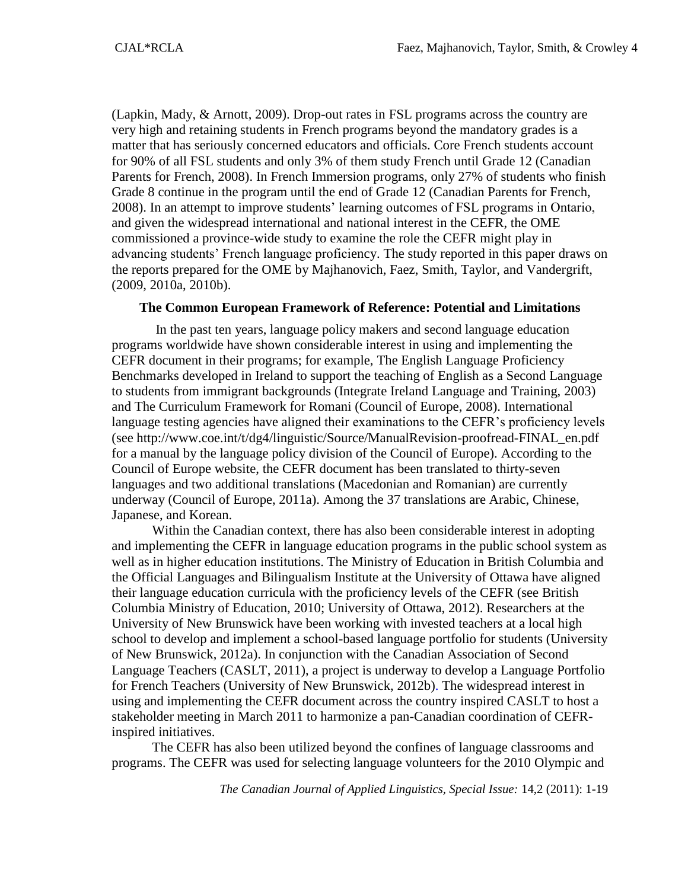(Lapkin, Mady, & Arnott, 2009). Drop-out rates in FSL programs across the country are very high and retaining students in French programs beyond the mandatory grades is a matter that has seriously concerned educators and officials. Core French students account for 90% of all FSL students and only 3% of them study French until Grade 12 (Canadian Parents for French, 2008). In French Immersion programs, only 27% of students who finish Grade 8 continue in the program until the end of Grade 12 (Canadian Parents for French, 2008). In an attempt to improve students' learning outcomes of FSL programs in Ontario, and given the widespread international and national interest in the CEFR, the OME commissioned a province-wide study to examine the role the CEFR might play in advancing students' French language proficiency. The study reported in this paper draws on the reports prepared for the OME by Majhanovich, Faez, Smith, Taylor, and Vandergrift, (2009, 2010a, 2010b).

#### **The Common European Framework of Reference: Potential and Limitations**

In the past ten years, language policy makers and second language education programs worldwide have shown considerable interest in using and implementing the CEFR document in their programs; for example, The English Language Proficiency Benchmarks developed in Ireland to support the teaching of English as a Second Language to students from immigrant backgrounds (Integrate Ireland Language and Training, 2003) and The Curriculum Framework for Romani (Council of Europe, 2008). International language testing agencies have aligned their examinations to the CEFR's proficiency levels (see http://www.coe.int/t/dg4/linguistic/Source/ManualRevision-proofread-FINAL\_en.pdf for a manual by the language policy division of the Council of Europe). According to the Council of Europe website, the CEFR document has been translated to thirty-seven languages and two additional translations (Macedonian and Romanian) are currently underway (Council of Europe, 2011a). Among the 37 translations are Arabic, Chinese, Japanese, and Korean.

Within the Canadian context, there has also been considerable interest in adopting and implementing the CEFR in language education programs in the public school system as well as in higher education institutions. The Ministry of Education in British Columbia and the Official Languages and Bilingualism Institute at the University of Ottawa have aligned their language education curricula with the proficiency levels of the CEFR (see British Columbia Ministry of Education, 2010; University of Ottawa, 2012). Researchers at the University of New Brunswick have been working with invested teachers at a local high school to develop and implement a school-based language portfolio for students (University of New Brunswick, 2012a). In conjunction with the Canadian Association of Second Language Teachers (CASLT, 2011), a project is underway to develop a Language Portfolio for French Teachers (University of New Brunswick, 2012b). The widespread interest in using and implementing the CEFR document across the country inspired CASLT to host a stakeholder meeting in March 2011 to harmonize a pan-Canadian coordination of CEFRinspired initiatives.

The CEFR has also been utilized beyond the confines of language classrooms and programs. The CEFR was used for selecting language volunteers for the 2010 Olympic and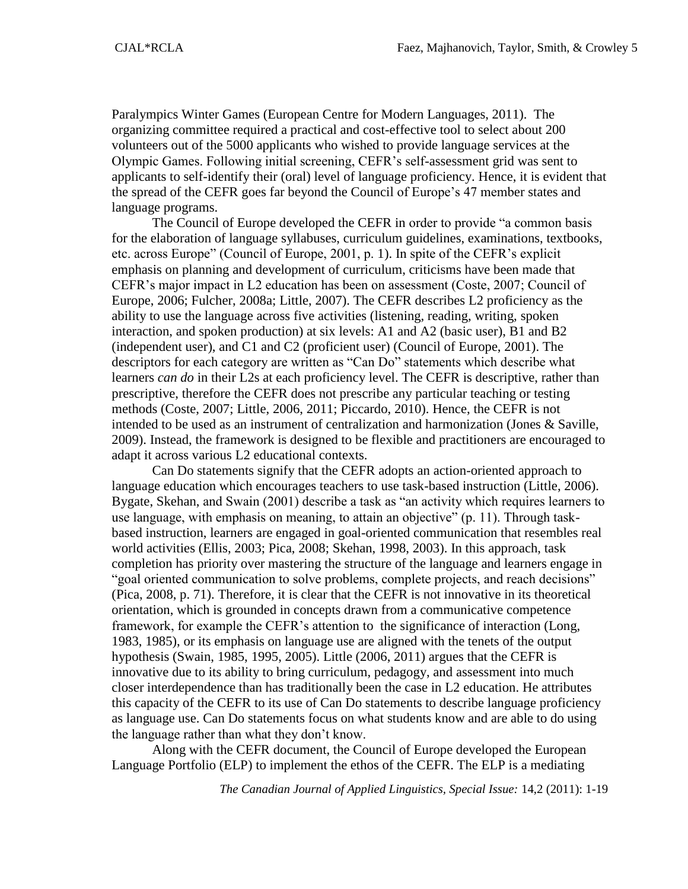Paralympics Winter Games (European Centre for Modern Languages, 2011). The organizing committee required a practical and cost-effective tool to select about 200 volunteers out of the 5000 applicants who wished to provide language services at the Olympic Games. Following initial screening, CEFR's self-assessment grid was sent to applicants to self-identify their (oral) level of language proficiency. Hence, it is evident that the spread of the CEFR goes far beyond the Council of Europe's 47 member states and language programs.

The Council of Europe developed the CEFR in order to provide "a common basis for the elaboration of language syllabuses, curriculum guidelines, examinations, textbooks, etc. across Europe" (Council of Europe, 2001, p. 1). In spite of the CEFR's explicit emphasis on planning and development of curriculum, criticisms have been made that CEFR's major impact in L2 education has been on assessment (Coste, 2007; Council of Europe, 2006; Fulcher, 2008a; Little, 2007). The CEFR describes L2 proficiency as the ability to use the language across five activities (listening, reading, writing, spoken interaction, and spoken production) at six levels: A1 and A2 (basic user), B1 and B2 (independent user), and C1 and C2 (proficient user) (Council of Europe, 2001). The descriptors for each category are written as "Can Do" statements which describe what learners *can do* in their L2s at each proficiency level. The CEFR is descriptive, rather than prescriptive, therefore the CEFR does not prescribe any particular teaching or testing methods (Coste, 2007; Little, 2006, 2011; Piccardo, 2010). Hence, the CEFR is not intended to be used as an instrument of centralization and harmonization (Jones & Saville, 2009). Instead, the framework is designed to be flexible and practitioners are encouraged to adapt it across various L2 educational contexts.

Can Do statements signify that the CEFR adopts an action-oriented approach to language education which encourages teachers to use task-based instruction (Little, 2006). Bygate, Skehan, and Swain (2001) describe a task as "an activity which requires learners to use language, with emphasis on meaning, to attain an objective" (p. 11). Through taskbased instruction, learners are engaged in goal-oriented communication that resembles real world activities (Ellis, 2003; Pica, 2008; Skehan, 1998, 2003). In this approach, task completion has priority over mastering the structure of the language and learners engage in "goal oriented communication to solve problems, complete projects, and reach decisions" (Pica, 2008, p. 71). Therefore, it is clear that the CEFR is not innovative in its theoretical orientation, which is grounded in concepts drawn from a communicative competence framework, for example the CEFR's attention to the significance of interaction (Long, 1983, 1985), or its emphasis on language use are aligned with the tenets of the output hypothesis (Swain, 1985, 1995, 2005). Little (2006, 2011) argues that the CEFR is innovative due to its ability to bring curriculum, pedagogy, and assessment into much closer interdependence than has traditionally been the case in L2 education. He attributes this capacity of the CEFR to its use of Can Do statements to describe language proficiency as language use. Can Do statements focus on what students know and are able to do using the language rather than what they don't know.

Along with the CEFR document, the Council of Europe developed the European Language Portfolio (ELP) to implement the ethos of the CEFR. The ELP is a mediating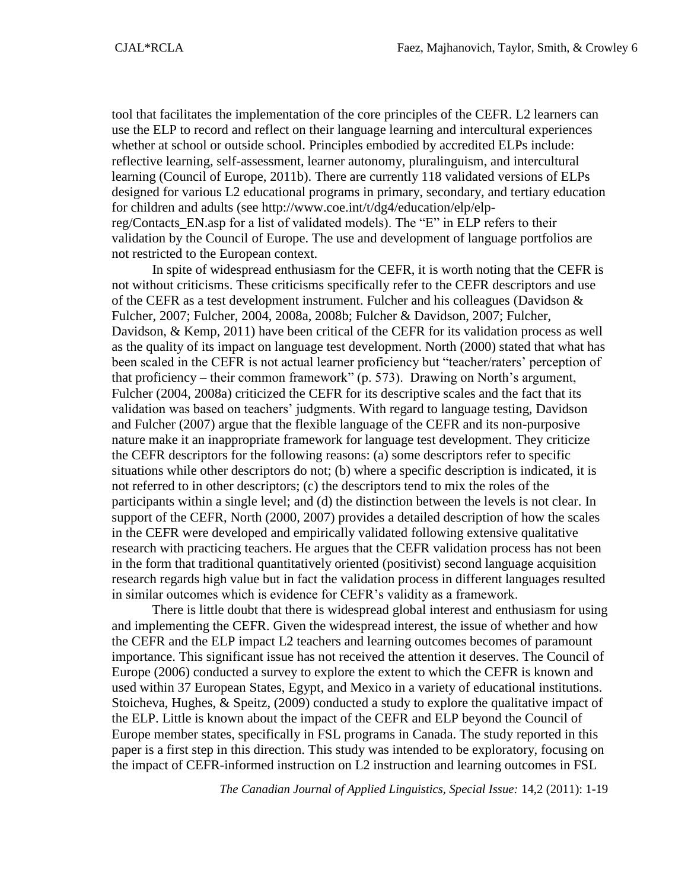tool that facilitates the implementation of the core principles of the CEFR. L2 learners can use the ELP to record and reflect on their language learning and intercultural experiences whether at school or outside school. Principles embodied by accredited ELPs include: reflective learning, self-assessment, learner autonomy, pluralinguism, and intercultural learning (Council of Europe, 2011b). There are currently 118 validated versions of ELPs designed for various L2 educational programs in primary, secondary, and tertiary education for children and adults (see http://www.coe.int/t/dg4/education/elp/elpreg/Contacts\_EN.asp for a list of validated models). The "E" in ELP refers to their validation by the Council of Europe. The use and development of language portfolios are not restricted to the European context.

In spite of widespread enthusiasm for the CEFR, it is worth noting that the CEFR is not without criticisms. These criticisms specifically refer to the CEFR descriptors and use of the CEFR as a test development instrument. Fulcher and his colleagues (Davidson  $\&$ Fulcher, 2007; Fulcher, 2004, 2008a, 2008b; Fulcher & Davidson, 2007; Fulcher, Davidson, & Kemp, 2011) have been critical of the CEFR for its validation process as well as the quality of its impact on language test development. North (2000) stated that what has been scaled in the CEFR is not actual learner proficiency but "teacher/raters' perception of that proficiency – their common framework" (p. 573). Drawing on North's argument, Fulcher (2004, 2008a) criticized the CEFR for its descriptive scales and the fact that its validation was based on teachers' judgments. With regard to language testing, Davidson and Fulcher (2007) argue that the flexible language of the CEFR and its non-purposive nature make it an inappropriate framework for language test development. They criticize the CEFR descriptors for the following reasons: (a) some descriptors refer to specific situations while other descriptors do not; (b) where a specific description is indicated, it is not referred to in other descriptors; (c) the descriptors tend to mix the roles of the participants within a single level; and (d) the distinction between the levels is not clear. In support of the CEFR, North (2000, 2007) provides a detailed description of how the scales in the CEFR were developed and empirically validated following extensive qualitative research with practicing teachers. He argues that the CEFR validation process has not been in the form that traditional quantitatively oriented (positivist) second language acquisition research regards high value but in fact the validation process in different languages resulted in similar outcomes which is evidence for CEFR's validity as a framework.

There is little doubt that there is widespread global interest and enthusiasm for using and implementing the CEFR. Given the widespread interest, the issue of whether and how the CEFR and the ELP impact L2 teachers and learning outcomes becomes of paramount importance. This significant issue has not received the attention it deserves. The Council of Europe (2006) conducted a survey to explore the extent to which the CEFR is known and used within 37 European States, Egypt, and Mexico in a variety of educational institutions. Stoicheva, Hughes, & Speitz, (2009) conducted a study to explore the qualitative impact of the ELP. Little is known about the impact of the CEFR and ELP beyond the Council of Europe member states, specifically in FSL programs in Canada. The study reported in this paper is a first step in this direction. This study was intended to be exploratory, focusing on the impact of CEFR-informed instruction on L2 instruction and learning outcomes in FSL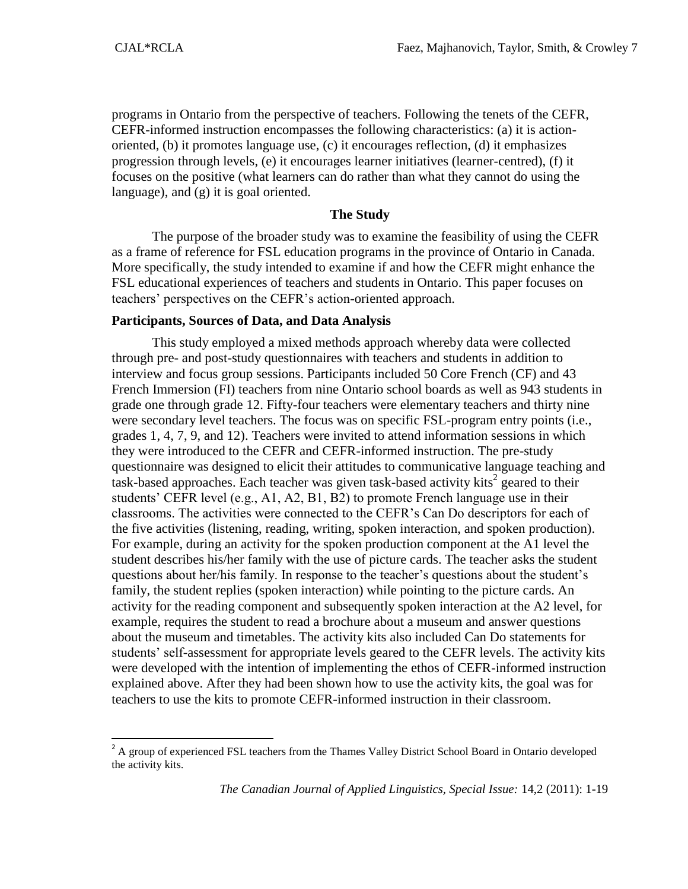$\overline{\phantom{a}}$ 

programs in Ontario from the perspective of teachers. Following the tenets of the CEFR, CEFR-informed instruction encompasses the following characteristics: (a) it is actionoriented, (b) it promotes language use, (c) it encourages reflection, (d) it emphasizes progression through levels, (e) it encourages learner initiatives (learner-centred), (f) it focuses on the positive (what learners can do rather than what they cannot do using the language), and (g) it is goal oriented.

### **The Study**

The purpose of the broader study was to examine the feasibility of using the CEFR as a frame of reference for FSL education programs in the province of Ontario in Canada. More specifically, the study intended to examine if and how the CEFR might enhance the FSL educational experiences of teachers and students in Ontario. This paper focuses on teachers' perspectives on the CEFR's action-oriented approach.

### **Participants, Sources of Data, and Data Analysis**

This study employed a mixed methods approach whereby data were collected through pre- and post-study questionnaires with teachers and students in addition to interview and focus group sessions. Participants included 50 Core French (CF) and 43 French Immersion (FI) teachers from nine Ontario school boards as well as 943 students in grade one through grade 12. Fifty-four teachers were elementary teachers and thirty nine were secondary level teachers. The focus was on specific FSL-program entry points (i.e., grades 1, 4, 7, 9, and 12). Teachers were invited to attend information sessions in which they were introduced to the CEFR and CEFR-informed instruction. The pre-study questionnaire was designed to elicit their attitudes to communicative language teaching and  $\frac{1}{1}$  task-based approaches. Each teacher was given task-based activity kits<sup>2</sup> geared to their students' CEFR level (e.g., A1, A2, B1, B2) to promote French language use in their classrooms. The activities were connected to the CEFR's Can Do descriptors for each of the five activities (listening, reading, writing, spoken interaction, and spoken production). For example, during an activity for the spoken production component at the A1 level the student describes his/her family with the use of picture cards. The teacher asks the student questions about her/his family. In response to the teacher's questions about the student's family, the student replies (spoken interaction) while pointing to the picture cards. An activity for the reading component and subsequently spoken interaction at the A2 level, for example, requires the student to read a brochure about a museum and answer questions about the museum and timetables. The activity kits also included Can Do statements for students' self-assessment for appropriate levels geared to the CEFR levels. The activity kits were developed with the intention of implementing the ethos of CEFR-informed instruction explained above. After they had been shown how to use the activity kits, the goal was for teachers to use the kits to promote CEFR-informed instruction in their classroom.

<sup>&</sup>lt;sup>2</sup> A group of experienced FSL teachers from the Thames Valley District School Board in Ontario developed the activity kits.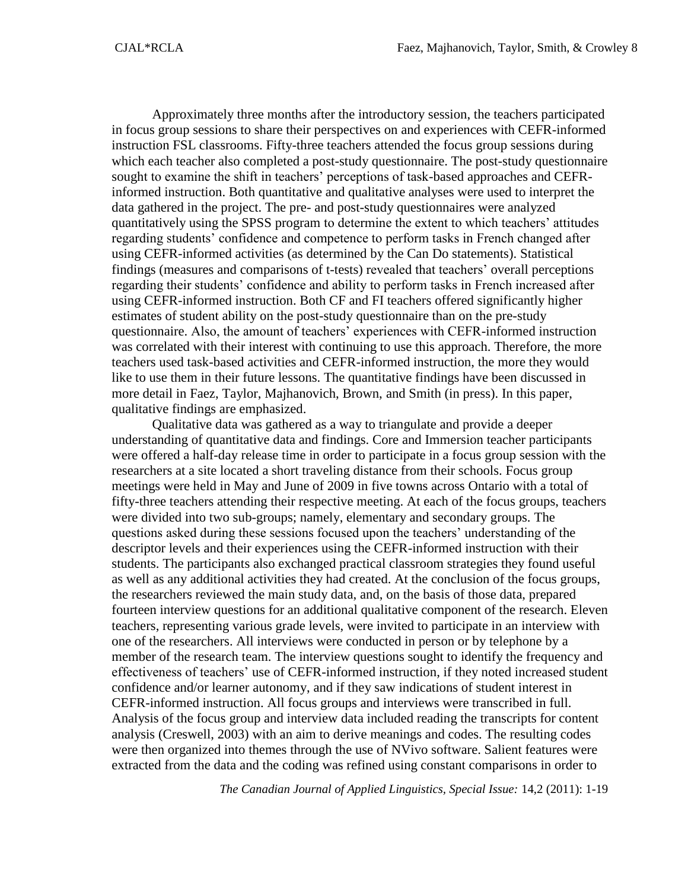Approximately three months after the introductory session, the teachers participated in focus group sessions to share their perspectives on and experiences with CEFR-informed instruction FSL classrooms. Fifty-three teachers attended the focus group sessions during which each teacher also completed a post-study questionnaire. The post-study questionnaire sought to examine the shift in teachers' perceptions of task-based approaches and CEFRinformed instruction. Both quantitative and qualitative analyses were used to interpret the data gathered in the project. The pre- and post-study questionnaires were analyzed quantitatively using the SPSS program to determine the extent to which teachers' attitudes regarding students' confidence and competence to perform tasks in French changed after using CEFR-informed activities (as determined by the Can Do statements). Statistical findings (measures and comparisons of t-tests) revealed that teachers' overall perceptions regarding their students' confidence and ability to perform tasks in French increased after using CEFR-informed instruction. Both CF and FI teachers offered significantly higher estimates of student ability on the post-study questionnaire than on the pre-study questionnaire. Also, the amount of teachers' experiences with CEFR-informed instruction was correlated with their interest with continuing to use this approach. Therefore, the more teachers used task-based activities and CEFR-informed instruction, the more they would like to use them in their future lessons. The quantitative findings have been discussed in more detail in Faez, Taylor, Majhanovich, Brown, and Smith (in press). In this paper, qualitative findings are emphasized.

Qualitative data was gathered as a way to triangulate and provide a deeper understanding of quantitative data and findings. Core and Immersion teacher participants were offered a half-day release time in order to participate in a focus group session with the researchers at a site located a short traveling distance from their schools. Focus group meetings were held in May and June of 2009 in five towns across Ontario with a total of fifty-three teachers attending their respective meeting. At each of the focus groups, teachers were divided into two sub-groups; namely, elementary and secondary groups. The questions asked during these sessions focused upon the teachers' understanding of the descriptor levels and their experiences using the CEFR-informed instruction with their students. The participants also exchanged practical classroom strategies they found useful as well as any additional activities they had created. At the conclusion of the focus groups, the researchers reviewed the main study data, and, on the basis of those data, prepared fourteen interview questions for an additional qualitative component of the research. Eleven teachers, representing various grade levels, were invited to participate in an interview with one of the researchers. All interviews were conducted in person or by telephone by a member of the research team. The interview questions sought to identify the frequency and effectiveness of teachers' use of CEFR-informed instruction, if they noted increased student confidence and/or learner autonomy, and if they saw indications of student interest in CEFR-informed instruction. All focus groups and interviews were transcribed in full. Analysis of the focus group and interview data included reading the transcripts for content analysis (Creswell, 2003) with an aim to derive meanings and codes. The resulting codes were then organized into themes through the use of NVivo software. Salient features were extracted from the data and the coding was refined using constant comparisons in order to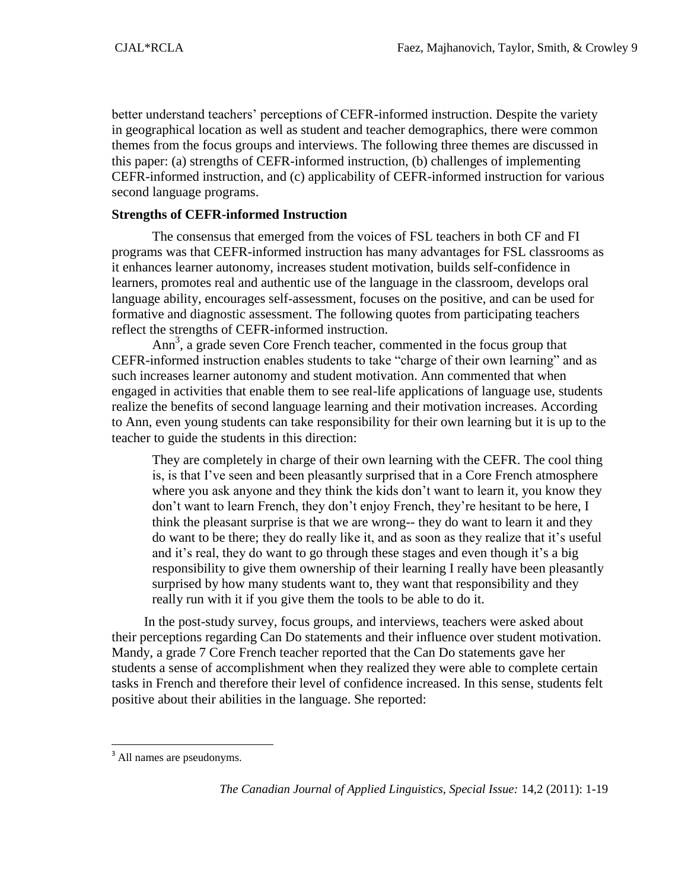better understand teachers' perceptions of CEFR-informed instruction. Despite the variety in geographical location as well as student and teacher demographics, there were common themes from the focus groups and interviews. The following three themes are discussed in this paper: (a) strengths of CEFR-informed instruction, (b) challenges of implementing CEFR-informed instruction, and (c) applicability of CEFR-informed instruction for various second language programs.

### **Strengths of CEFR-informed Instruction**

The consensus that emerged from the voices of FSL teachers in both CF and FI programs was that CEFR-informed instruction has many advantages for FSL classrooms as it enhances learner autonomy, increases student motivation, builds self-confidence in learners, promotes real and authentic use of the language in the classroom, develops oral language ability, encourages self-assessment, focuses on the positive, and can be used for formative and diagnostic assessment. The following quotes from participating teachers reflect the strengths of CEFR-informed instruction.

Ann<sup>3</sup>, a grade seven Core French teacher, commented in the focus group that CEFR-informed instruction enables students to take "charge of their own learning" and as such increases learner autonomy and student motivation. Ann commented that when engaged in activities that enable them to see real-life applications of language use, students realize the benefits of second language learning and their motivation increases. According to Ann, even young students can take responsibility for their own learning but it is up to the teacher to guide the students in this direction:

They are completely in charge of their own learning with the CEFR. The cool thing is, is that I've seen and been pleasantly surprised that in a Core French atmosphere where you ask anyone and they think the kids don't want to learn it, you know they don't want to learn French, they don't enjoy French, they're hesitant to be here, I think the pleasant surprise is that we are wrong-- they do want to learn it and they do want to be there; they do really like it, and as soon as they realize that it's useful and it's real, they do want to go through these stages and even though it's a big responsibility to give them ownership of their learning I really have been pleasantly surprised by how many students want to, they want that responsibility and they really run with it if you give them the tools to be able to do it.

In the post-study survey, focus groups, and interviews, teachers were asked about their perceptions regarding Can Do statements and their influence over student motivation. Mandy, a grade 7 Core French teacher reported that the Can Do statements gave her students a sense of accomplishment when they realized they were able to complete certain tasks in French and therefore their level of confidence increased. In this sense, students felt positive about their abilities in the language. She reported:

l

<sup>&</sup>lt;sup>3</sup> All names are pseudonyms.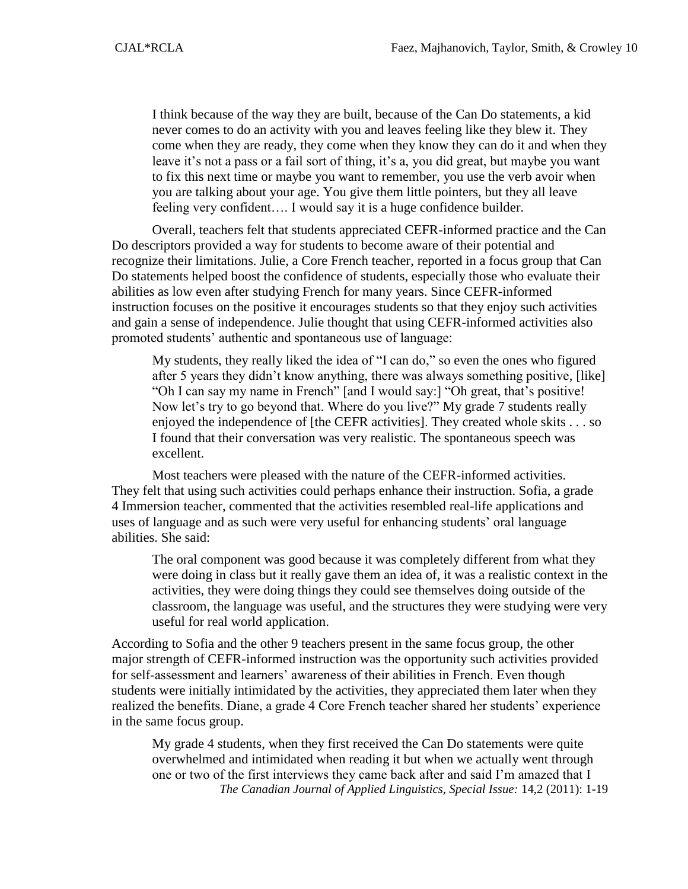I think because of the way they are built, because of the Can Do statements, a kid never comes to do an activity with you and leaves feeling like they blew it. They come when they are ready, they come when they know they can do it and when they leave it's not a pass or a fail sort of thing, it's a, you did great, but maybe you want to fix this next time or maybe you want to remember, you use the verb avoir when you are talking about your age. You give them little pointers, but they all leave feeling very confident…. I would say it is a huge confidence builder.

Overall, teachers felt that students appreciated CEFR-informed practice and the Can Do descriptors provided a way for students to become aware of their potential and recognize their limitations. Julie, a Core French teacher, reported in a focus group that Can Do statements helped boost the confidence of students, especially those who evaluate their abilities as low even after studying French for many years. Since CEFR-informed instruction focuses on the positive it encourages students so that they enjoy such activities and gain a sense of independence. Julie thought that using CEFR-informed activities also promoted students' authentic and spontaneous use of language:

My students, they really liked the idea of "I can do," so even the ones who figured after 5 years they didn't know anything, there was always something positive, [like] "Oh I can say my name in French" [and I would say:] "Oh great, that's positive! Now let's try to go beyond that. Where do you live?" My grade 7 students really enjoyed the independence of [the CEFR activities]. They created whole skits . . . so I found that their conversation was very realistic. The spontaneous speech was excellent.

Most teachers were pleased with the nature of the CEFR-informed activities. They felt that using such activities could perhaps enhance their instruction. Sofia, a grade 4 Immersion teacher, commented that the activities resembled real-life applications and uses of language and as such were very useful for enhancing students' oral language abilities. She said:

The oral component was good because it was completely different from what they were doing in class but it really gave them an idea of, it was a realistic context in the activities, they were doing things they could see themselves doing outside of the classroom, the language was useful, and the structures they were studying were very useful for real world application.

According to Sofia and the other 9 teachers present in the same focus group, the other major strength of CEFR-informed instruction was the opportunity such activities provided for self-assessment and learners' awareness of their abilities in French. Even though students were initially intimidated by the activities, they appreciated them later when they realized the benefits. Diane, a grade 4 Core French teacher shared her students' experience in the same focus group.

*The Canadian Journal of Applied Linguistics, Special Issue:* 14,2 (2011): 1-19 My grade 4 students, when they first received the Can Do statements were quite overwhelmed and intimidated when reading it but when we actually went through one or two of the first interviews they came back after and said I'm amazed that I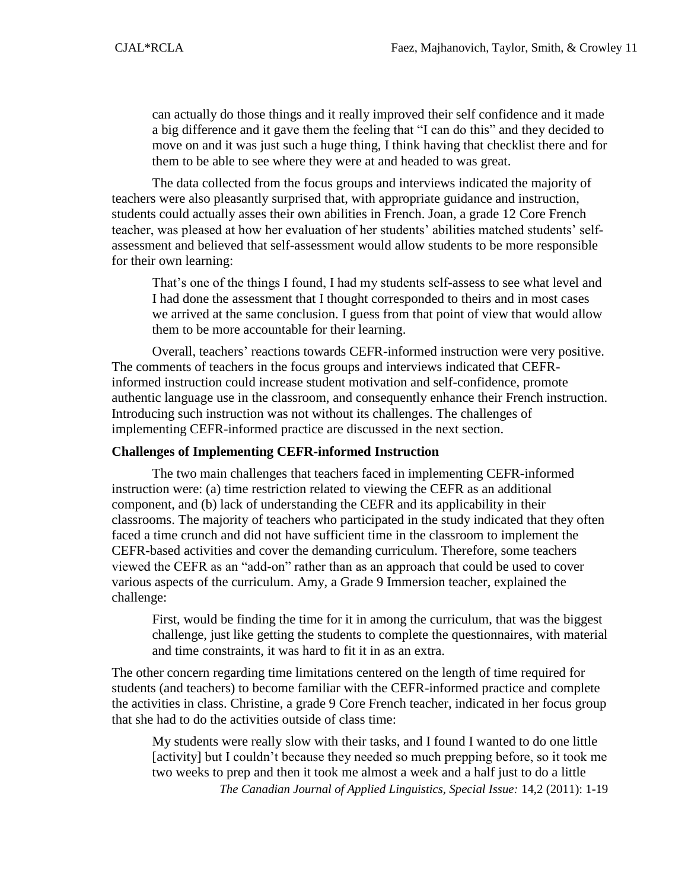can actually do those things and it really improved their self confidence and it made a big difference and it gave them the feeling that "I can do this" and they decided to move on and it was just such a huge thing, I think having that checklist there and for them to be able to see where they were at and headed to was great.

The data collected from the focus groups and interviews indicated the majority of teachers were also pleasantly surprised that, with appropriate guidance and instruction, students could actually asses their own abilities in French. Joan, a grade 12 Core French teacher, was pleased at how her evaluation of her students' abilities matched students' selfassessment and believed that self-assessment would allow students to be more responsible for their own learning:

That's one of the things I found, I had my students self-assess to see what level and I had done the assessment that I thought corresponded to theirs and in most cases we arrived at the same conclusion. I guess from that point of view that would allow them to be more accountable for their learning.

Overall, teachers' reactions towards CEFR-informed instruction were very positive. The comments of teachers in the focus groups and interviews indicated that CEFRinformed instruction could increase student motivation and self-confidence, promote authentic language use in the classroom, and consequently enhance their French instruction. Introducing such instruction was not without its challenges. The challenges of implementing CEFR-informed practice are discussed in the next section.

### **Challenges of Implementing CEFR-informed Instruction**

The two main challenges that teachers faced in implementing CEFR-informed instruction were: (a) time restriction related to viewing the CEFR as an additional component, and (b) lack of understanding the CEFR and its applicability in their classrooms. The majority of teachers who participated in the study indicated that they often faced a time crunch and did not have sufficient time in the classroom to implement the CEFR-based activities and cover the demanding curriculum. Therefore, some teachers viewed the CEFR as an "add-on" rather than as an approach that could be used to cover various aspects of the curriculum. Amy, a Grade 9 Immersion teacher, explained the challenge:

First, would be finding the time for it in among the curriculum, that was the biggest challenge, just like getting the students to complete the questionnaires, with material and time constraints, it was hard to fit it in as an extra.

The other concern regarding time limitations centered on the length of time required for students (and teachers) to become familiar with the CEFR-informed practice and complete the activities in class. Christine, a grade 9 Core French teacher, indicated in her focus group that she had to do the activities outside of class time:

*The Canadian Journal of Applied Linguistics, Special Issue:* 14,2 (2011): 1-19 My students were really slow with their tasks, and I found I wanted to do one little [activity] but I couldn't because they needed so much prepping before, so it took me two weeks to prep and then it took me almost a week and a half just to do a little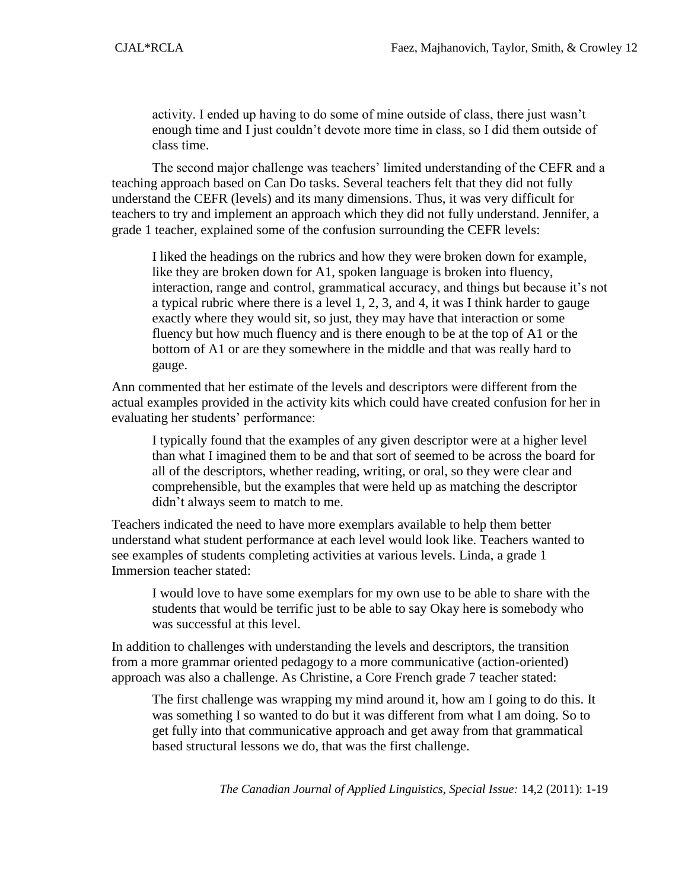activity. I ended up having to do some of mine outside of class, there just wasn't enough time and I just couldn't devote more time in class, so I did them outside of class time.

The second major challenge was teachers' limited understanding of the CEFR and a teaching approach based on Can Do tasks. Several teachers felt that they did not fully understand the CEFR (levels) and its many dimensions. Thus, it was very difficult for teachers to try and implement an approach which they did not fully understand. Jennifer, a grade 1 teacher, explained some of the confusion surrounding the CEFR levels:

I liked the headings on the rubrics and how they were broken down for example, like they are broken down for A1, spoken language is broken into fluency, interaction, range and control, grammatical accuracy, and things but because it's not a typical rubric where there is a level 1, 2, 3, and 4, it was I think harder to gauge exactly where they would sit, so just, they may have that interaction or some fluency but how much fluency and is there enough to be at the top of A1 or the bottom of A1 or are they somewhere in the middle and that was really hard to gauge.

Ann commented that her estimate of the levels and descriptors were different from the actual examples provided in the activity kits which could have created confusion for her in evaluating her students' performance:

I typically found that the examples of any given descriptor were at a higher level than what I imagined them to be and that sort of seemed to be across the board for all of the descriptors, whether reading, writing, or oral, so they were clear and comprehensible, but the examples that were held up as matching the descriptor didn't always seem to match to me.

Teachers indicated the need to have more exemplars available to help them better understand what student performance at each level would look like. Teachers wanted to see examples of students completing activities at various levels. Linda, a grade 1 Immersion teacher stated:

I would love to have some exemplars for my own use to be able to share with the students that would be terrific just to be able to say Okay here is somebody who was successful at this level.

In addition to challenges with understanding the levels and descriptors, the transition from a more grammar oriented pedagogy to a more communicative (action-oriented) approach was also a challenge. As Christine, a Core French grade 7 teacher stated:

The first challenge was wrapping my mind around it, how am I going to do this. It was something I so wanted to do but it was different from what I am doing. So to get fully into that communicative approach and get away from that grammatical based structural lessons we do, that was the first challenge.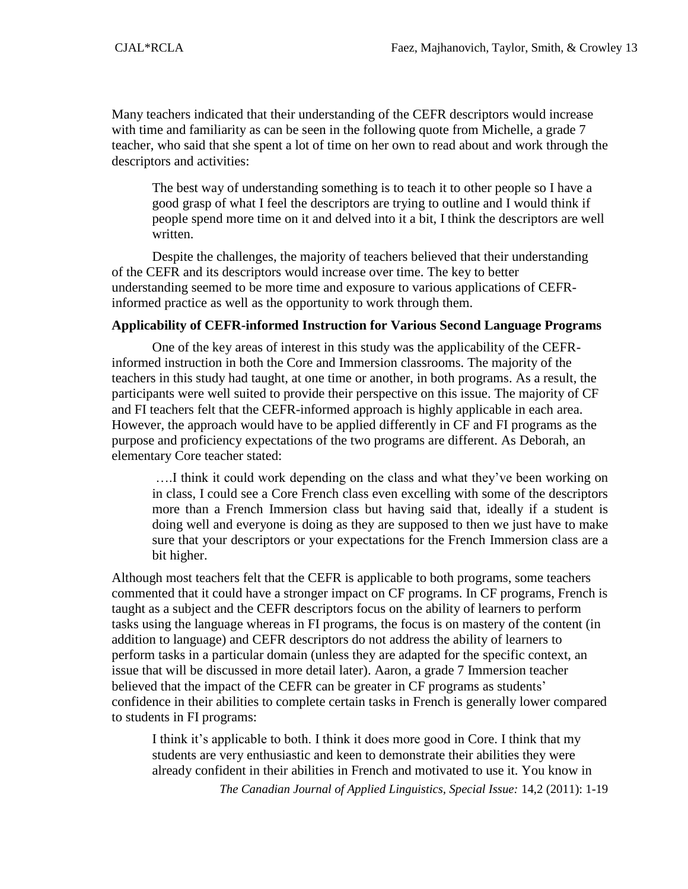Many teachers indicated that their understanding of the CEFR descriptors would increase with time and familiarity as can be seen in the following quote from Michelle, a grade 7 teacher, who said that she spent a lot of time on her own to read about and work through the descriptors and activities:

The best way of understanding something is to teach it to other people so I have a good grasp of what I feel the descriptors are trying to outline and I would think if people spend more time on it and delved into it a bit, I think the descriptors are well written.

Despite the challenges, the majority of teachers believed that their understanding of the CEFR and its descriptors would increase over time. The key to better understanding seemed to be more time and exposure to various applications of CEFRinformed practice as well as the opportunity to work through them.

### **Applicability of CEFR-informed Instruction for Various Second Language Programs**

One of the key areas of interest in this study was the applicability of the CEFRinformed instruction in both the Core and Immersion classrooms. The majority of the teachers in this study had taught, at one time or another, in both programs. As a result, the participants were well suited to provide their perspective on this issue. The majority of CF and FI teachers felt that the CEFR-informed approach is highly applicable in each area. However, the approach would have to be applied differently in CF and FI programs as the purpose and proficiency expectations of the two programs are different. As Deborah, an elementary Core teacher stated:

….I think it could work depending on the class and what they've been working on in class, I could see a Core French class even excelling with some of the descriptors more than a French Immersion class but having said that, ideally if a student is doing well and everyone is doing as they are supposed to then we just have to make sure that your descriptors or your expectations for the French Immersion class are a bit higher.

Although most teachers felt that the CEFR is applicable to both programs, some teachers commented that it could have a stronger impact on CF programs. In CF programs, French is taught as a subject and the CEFR descriptors focus on the ability of learners to perform tasks using the language whereas in FI programs, the focus is on mastery of the content (in addition to language) and CEFR descriptors do not address the ability of learners to perform tasks in a particular domain (unless they are adapted for the specific context, an issue that will be discussed in more detail later). Aaron, a grade 7 Immersion teacher believed that the impact of the CEFR can be greater in CF programs as students' confidence in their abilities to complete certain tasks in French is generally lower compared to students in FI programs:

I think it's applicable to both. I think it does more good in Core. I think that my students are very enthusiastic and keen to demonstrate their abilities they were already confident in their abilities in French and motivated to use it. You know in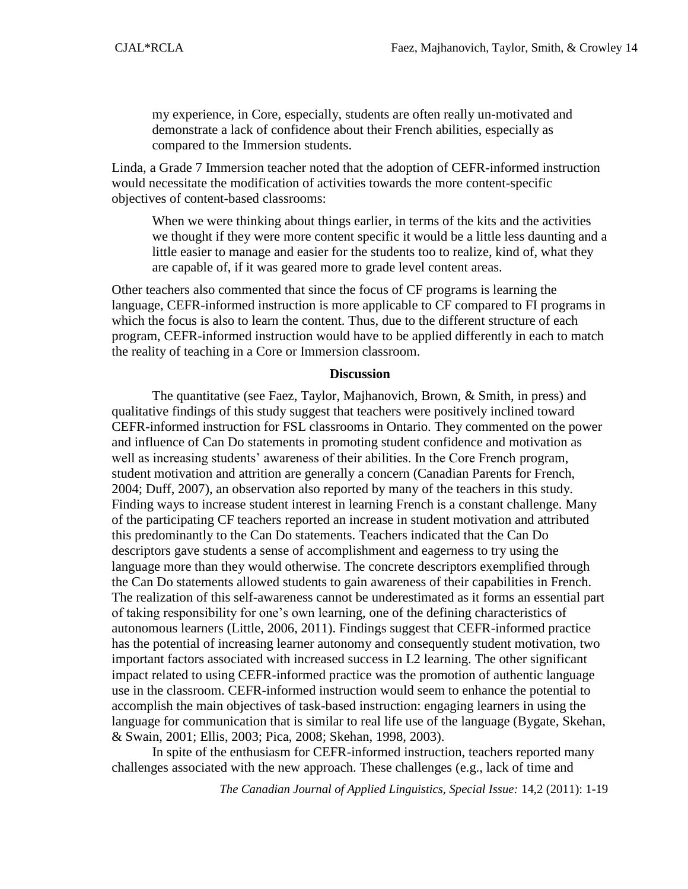my experience, in Core, especially, students are often really un-motivated and demonstrate a lack of confidence about their French abilities, especially as compared to the Immersion students.

Linda, a Grade 7 Immersion teacher noted that the adoption of CEFR-informed instruction would necessitate the modification of activities towards the more content-specific objectives of content-based classrooms:

When we were thinking about things earlier, in terms of the kits and the activities we thought if they were more content specific it would be a little less daunting and a little easier to manage and easier for the students too to realize, kind of, what they are capable of, if it was geared more to grade level content areas.

Other teachers also commented that since the focus of CF programs is learning the language, CEFR-informed instruction is more applicable to CF compared to FI programs in which the focus is also to learn the content. Thus, due to the different structure of each program, CEFR-informed instruction would have to be applied differently in each to match the reality of teaching in a Core or Immersion classroom.

#### **Discussion**

The quantitative (see Faez, Taylor, Majhanovich, Brown, & Smith, in press) and qualitative findings of this study suggest that teachers were positively inclined toward CEFR-informed instruction for FSL classrooms in Ontario. They commented on the power and influence of Can Do statements in promoting student confidence and motivation as well as increasing students' awareness of their abilities. In the Core French program, student motivation and attrition are generally a concern (Canadian Parents for French, 2004; Duff, 2007), an observation also reported by many of the teachers in this study. Finding ways to increase student interest in learning French is a constant challenge. Many of the participating CF teachers reported an increase in student motivation and attributed this predominantly to the Can Do statements. Teachers indicated that the Can Do descriptors gave students a sense of accomplishment and eagerness to try using the language more than they would otherwise. The concrete descriptors exemplified through the Can Do statements allowed students to gain awareness of their capabilities in French. The realization of this self-awareness cannot be underestimated as it forms an essential part of taking responsibility for one's own learning, one of the defining characteristics of autonomous learners (Little, 2006, 2011). Findings suggest that CEFR-informed practice has the potential of increasing learner autonomy and consequently student motivation, two important factors associated with increased success in L2 learning. The other significant impact related to using CEFR-informed practice was the promotion of authentic language use in the classroom. CEFR-informed instruction would seem to enhance the potential to accomplish the main objectives of task-based instruction: engaging learners in using the language for communication that is similar to real life use of the language (Bygate, Skehan, & Swain, 2001; Ellis, 2003; Pica, 2008; Skehan, 1998, 2003).

In spite of the enthusiasm for CEFR-informed instruction, teachers reported many challenges associated with the new approach. These challenges (e.g., lack of time and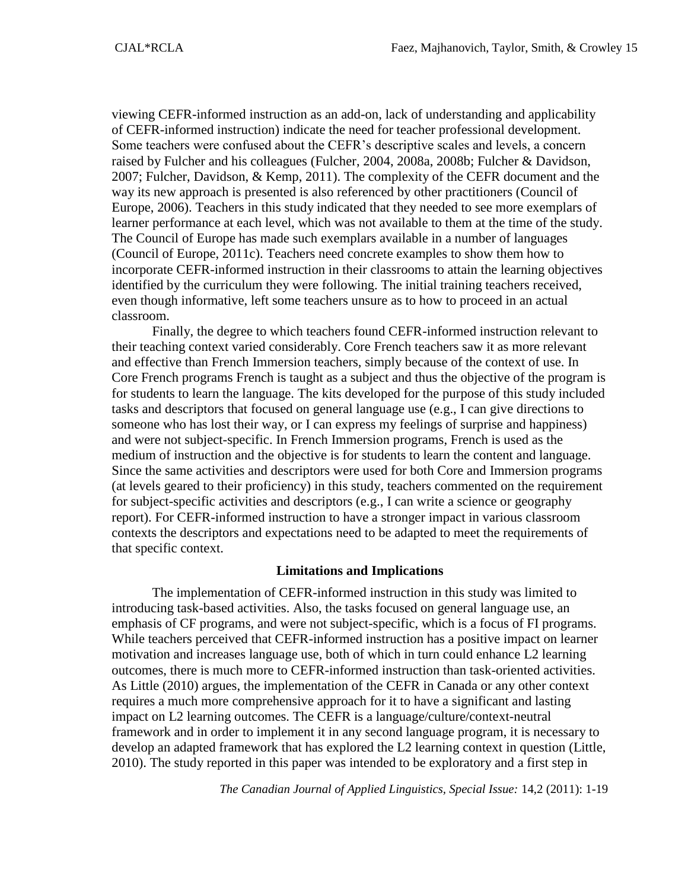viewing CEFR-informed instruction as an add-on, lack of understanding and applicability of CEFR-informed instruction) indicate the need for teacher professional development. Some teachers were confused about the CEFR's descriptive scales and levels, a concern raised by Fulcher and his colleagues (Fulcher, 2004, 2008a, 2008b; Fulcher & Davidson, 2007; Fulcher, Davidson, & Kemp, 2011). The complexity of the CEFR document and the way its new approach is presented is also referenced by other practitioners (Council of Europe, 2006). Teachers in this study indicated that they needed to see more exemplars of learner performance at each level, which was not available to them at the time of the study. The Council of Europe has made such exemplars available in a number of languages (Council of Europe, 2011c). Teachers need concrete examples to show them how to incorporate CEFR-informed instruction in their classrooms to attain the learning objectives identified by the curriculum they were following. The initial training teachers received, even though informative, left some teachers unsure as to how to proceed in an actual classroom.

Finally, the degree to which teachers found CEFR-informed instruction relevant to their teaching context varied considerably. Core French teachers saw it as more relevant and effective than French Immersion teachers, simply because of the context of use. In Core French programs French is taught as a subject and thus the objective of the program is for students to learn the language. The kits developed for the purpose of this study included tasks and descriptors that focused on general language use (e.g., I can give directions to someone who has lost their way, or I can express my feelings of surprise and happiness) and were not subject-specific. In French Immersion programs, French is used as the medium of instruction and the objective is for students to learn the content and language. Since the same activities and descriptors were used for both Core and Immersion programs (at levels geared to their proficiency) in this study, teachers commented on the requirement for subject-specific activities and descriptors (e.g., I can write a science or geography report). For CEFR-informed instruction to have a stronger impact in various classroom contexts the descriptors and expectations need to be adapted to meet the requirements of that specific context.

#### **Limitations and Implications**

The implementation of CEFR-informed instruction in this study was limited to introducing task-based activities. Also, the tasks focused on general language use, an emphasis of CF programs, and were not subject-specific, which is a focus of FI programs. While teachers perceived that CEFR-informed instruction has a positive impact on learner motivation and increases language use, both of which in turn could enhance L2 learning outcomes, there is much more to CEFR-informed instruction than task-oriented activities. As Little (2010) argues, the implementation of the CEFR in Canada or any other context requires a much more comprehensive approach for it to have a significant and lasting impact on L2 learning outcomes. The CEFR is a language/culture/context-neutral framework and in order to implement it in any second language program, it is necessary to develop an adapted framework that has explored the L2 learning context in question (Little, 2010). The study reported in this paper was intended to be exploratory and a first step in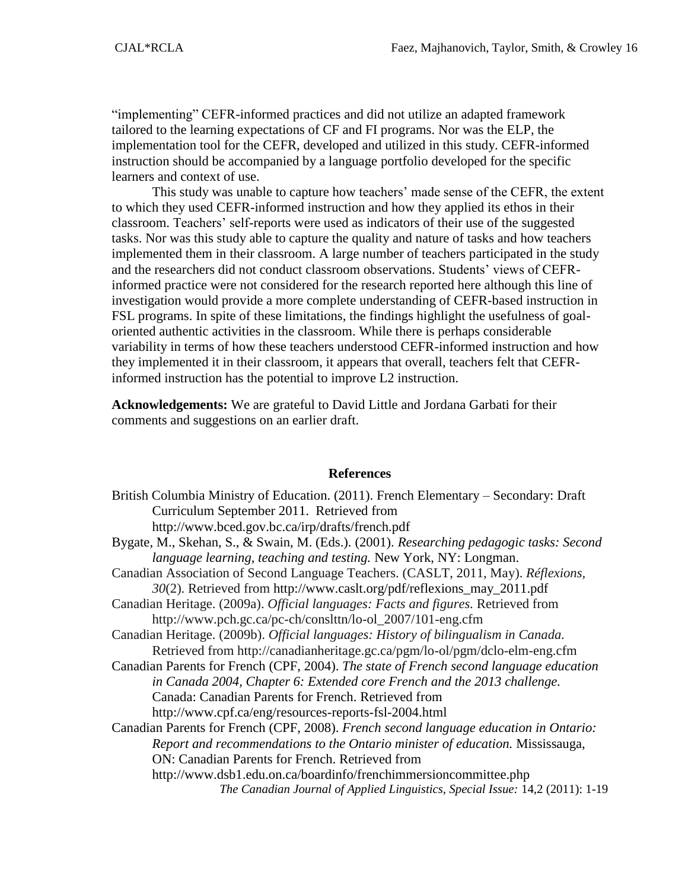"implementing" CEFR-informed practices and did not utilize an adapted framework tailored to the learning expectations of CF and FI programs. Nor was the ELP, the implementation tool for the CEFR, developed and utilized in this study. CEFR-informed instruction should be accompanied by a language portfolio developed for the specific learners and context of use.

This study was unable to capture how teachers' made sense of the CEFR, the extent to which they used CEFR-informed instruction and how they applied its ethos in their classroom. Teachers' self-reports were used as indicators of their use of the suggested tasks. Nor was this study able to capture the quality and nature of tasks and how teachers implemented them in their classroom. A large number of teachers participated in the study and the researchers did not conduct classroom observations. Students' views of CEFRinformed practice were not considered for the research reported here although this line of investigation would provide a more complete understanding of CEFR-based instruction in FSL programs. In spite of these limitations, the findings highlight the usefulness of goaloriented authentic activities in the classroom. While there is perhaps considerable variability in terms of how these teachers understood CEFR-informed instruction and how they implemented it in their classroom, it appears that overall, teachers felt that CEFRinformed instruction has the potential to improve L2 instruction.

**Acknowledgements:** We are grateful to David Little and Jordana Garbati for their comments and suggestions on an earlier draft.

#### **References**

| British Columbia Ministry of Education. (2011). French Elementary - Secondary: Draft      |
|-------------------------------------------------------------------------------------------|
| Curriculum September 2011. Retrieved from                                                 |
| http://www.bced.gov.bc.ca/irp/drafts/french.pdf                                           |
| Bygate, M., Skehan, S., & Swain, M. (Eds.). (2001). Researching pedagogic tasks: Second   |
| language learning, teaching and testing. New York, NY: Longman.                           |
| Canadian Association of Second Language Teachers. (CASLT, 2011, May). <i>Réflexions</i> , |
| 30(2). Retrieved from http://www.caslt.org/pdf/reflexions_may_2011.pdf                    |
| Canadian Heritage. (2009a). Official languages: Facts and figures. Retrieved from         |
| http://www.pch.gc.ca/pc-ch/conslttn/lo-ol_2007/101-eng.cfm                                |
| Canadian Heritage. (2009b). Official languages: History of bilingualism in Canada.        |
| Retrieved from http://canadianheritage.gc.ca/pgm/lo-ol/pgm/dclo-elm-eng.cfm               |
| Canadian Parents for French (CPF, 2004). The state of French second language education    |
| in Canada 2004, Chapter 6: Extended core French and the 2013 challenge.                   |
| Canada: Canadian Parents for French. Retrieved from                                       |
| http://www.cpf.ca/eng/resources-reports-fsl-2004.html                                     |
| Canadian Parents for French (CPF, 2008). French second language education in Ontario:     |
| Report and recommendations to the Ontario minister of education. Mississauga,             |
| ON: Canadian Parents for French. Retrieved from                                           |
| http://www.dsb1.edu.on.ca/boardinfo/frenchimmersioncommittee.php                          |
| The Canadian Journal of Applied Linguistics, Special Issue: 14,2 (2011): 1-19             |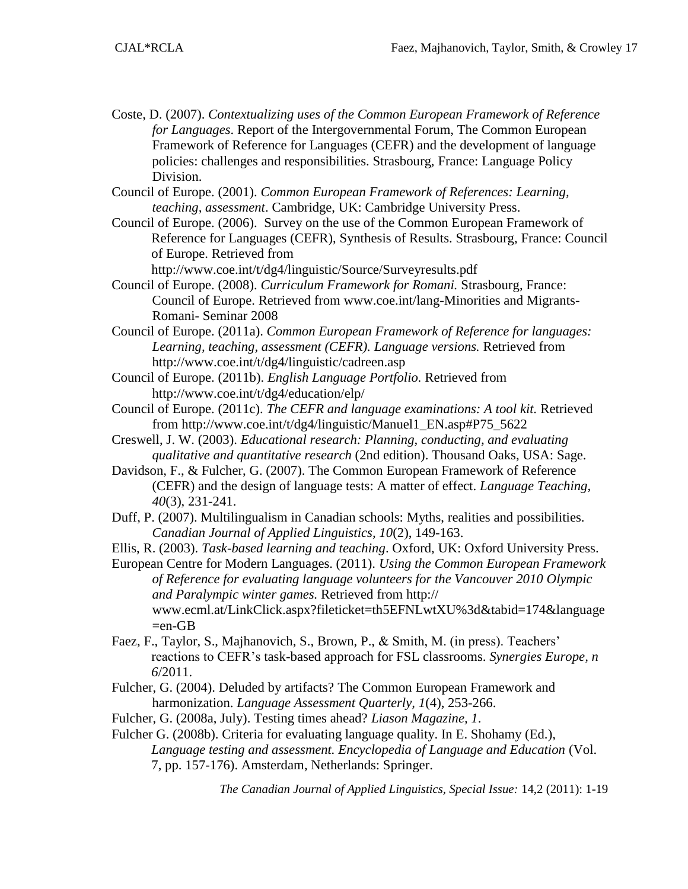- Coste, D. (2007). *Contextualizing uses of the Common European Framework of Reference for Languages*. Report of the Intergovernmental Forum, The Common European Framework of Reference for Languages (CEFR) and the development of language policies: challenges and responsibilities. Strasbourg, France: Language Policy Division.
- Council of Europe. (2001). *Common European Framework of References: Learning, teaching, assessment*. Cambridge, UK: Cambridge University Press.
- Council of Europe. (2006). Survey on the use of the Common European Framework of Reference for Languages (CEFR), Synthesis of Results. Strasbourg, France: Council of Europe. Retrieved from

http://www.coe.int/t/dg4/linguistic/Source/Surveyresults.pdf

- Council of Europe. (2008). *Curriculum Framework for Romani.* Strasbourg, France: Council of Europe. Retrieved from [www.coe.int/lang-Minorities and Migrants-](http://www.coe.int/lang-Minorities%20and%20Migrants-Romani-%20Seminar%202008)Romani- [Seminar 2008](http://www.coe.int/lang-Minorities%20and%20Migrants-Romani-%20Seminar%202008)
- Council of Europe. (2011a). *Common European Framework of Reference for languages: Learning, teaching, assessment (CEFR). Language versions.* Retrieved from <http://www.coe.int/t/dg4/linguistic/cadreen.asp>
- Council of Europe. (2011b). *English Language Portfolio.* Retrieved from http://www.coe.int/t/dg4/education/elp/
- Council of Europe. (2011c). *The CEFR and language examinations: A tool kit.* Retrieved from http://www.coe.int/t/dg4/linguistic/Manuel1\_EN.asp#P75\_5622
- Creswell, J. W. (2003). *Educational research: Planning, conducting, and evaluating qualitative and quantitative research* (2nd edition). Thousand Oaks, USA: Sage.
- Davidson, F., & Fulcher, G. (2007). The Common European Framework of Reference (CEFR) and the design of language tests: A matter of effect. *Language Teaching, 40*(3), 231-241.
- Duff, P. (2007). Multilingualism in Canadian schools: Myths, realities and possibilities. *Canadian Journal of Applied Linguistics, 10*(2), 149-163.

Ellis, R. (2003). *Task-based learning and teaching*. Oxford, UK: Oxford University Press.

- European Centre for Modern Languages. (2011). *Using the Common European Framework of Reference for evaluating language volunteers for the Vancouver 2010 Olympic and Paralympic winter games.* Retrieved from http:// www.ecml.at/LinkClick.aspx?fileticket=th5EFNLwtXU%3d&tabid=174&language  $=$ en-GB
- Faez, F., Taylor, S., Majhanovich, S., Brown, P., & Smith, M. (in press). Teachers' reactions to CEFR's task-based approach for FSL classrooms. *Synergies Europe, n 6*/2011.
- Fulcher, G. (2004). Deluded by artifacts? The Common European Framework and harmonization. *Language Assessment Quarterly, 1*(4), 253-266.
- Fulcher, G. (2008a, July). Testing times ahead? *Liason Magazine, 1*.
- Fulcher G. (2008b). Criteria for evaluating language quality. In E. Shohamy (Ed.), *Language testing and assessment. Encyclopedia of Language and Education* (Vol. 7, pp. 157-176). Amsterdam, Netherlands: Springer.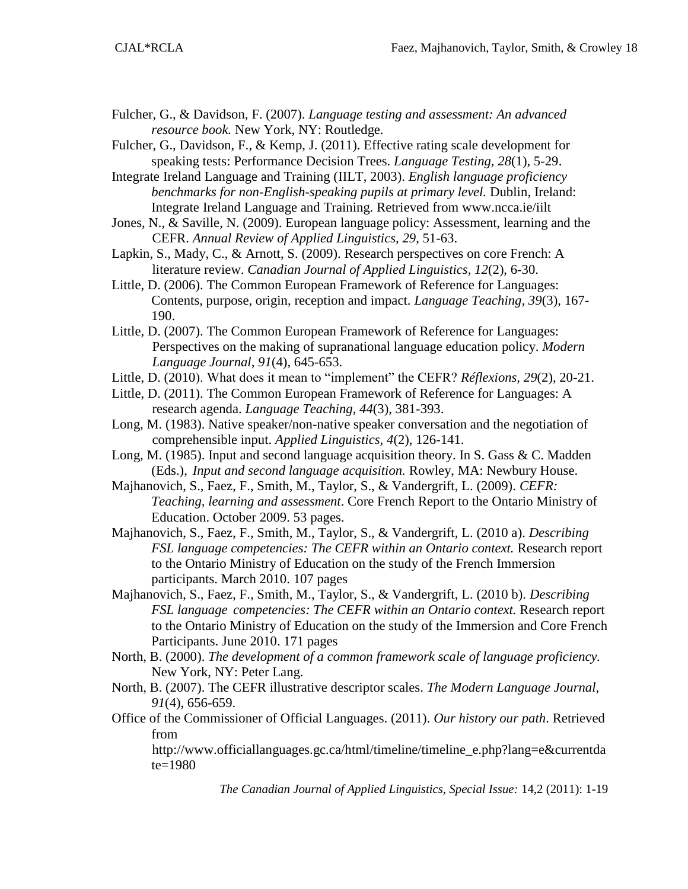- Fulcher, G., & Davidson, F. (2007). *Language testing and assessment: An advanced resource book.* New York, NY: Routledge.
- Fulcher, G., Davidson, F., & Kemp, J. (2011). Effective rating scale development for speaking tests: Performance Decision Trees. *Language Testing, 28*(1), 5-29.

Integrate Ireland Language and Training (IILT, 2003). *English language proficiency benchmarks for non-English-speaking pupils at primary level.* Dublin, Ireland: Integrate Ireland Language and Training. Retrieved from [www.ncca.ie/iilt](http://www.ncca.ie/iilt)

Jones, N., & Saville, N. (2009). European language policy: Assessment, learning and the CEFR. *Annual Review of Applied Linguistics, 29*, 51-63.

Lapkin, S., Mady, C., & Arnott, S. (2009). Research perspectives on core French: A literature review. *Canadian Journal of Applied Linguistics, 12*(2), 6-30.

Little, D. (2006). The Common European Framework of Reference for Languages: Contents, purpose, origin, reception and impact. *Language Teaching, 39*(3), 167- 190.

- Little, D. (2007). The Common European Framework of Reference for Languages: Perspectives on the making of supranational language education policy. *Modern Language Journal, 91*(4), 645-653.
- Little, D. (2010). What does it mean to "implement" the CEFR? *Réflexions, 29*(2), 20-21.
- Little, D. (2011). The Common European Framework of Reference for Languages: A research agenda. *Language Teaching, 44*(3), 381-393.
- Long, M. (1983). Native speaker/non-native speaker conversation and the negotiation of comprehensible input. *Applied Linguistics, 4*(2), 126-141.
- Long, M. (1985). Input and second language acquisition theory. In S. Gass & C. Madden (Eds.), *Input and second language acquisition.* Rowley, MA: Newbury House.

Majhanovich, S., Faez, F., Smith, M., Taylor, S., & Vandergrift, L. (2009). *CEFR: Teaching, learning and assessment*. Core French Report to the Ontario Ministry of Education. October 2009. 53 pages.

Majhanovich, S., Faez, F., Smith, M., Taylor, S., & Vandergrift, L. (2010 a). *Describing FSL language competencies: The CEFR within an Ontario context.* Research report to the Ontario Ministry of Education on the study of the French Immersion participants. March 2010. 107 pages

- Majhanovich, S., Faez, F., Smith, M., Taylor, S., & Vandergrift, L. (2010 b). *Describing FSL language competencies: The CEFR within an Ontario context.* Research report to the Ontario Ministry of Education on the study of the Immersion and Core French Participants. June 2010. 171 pages
- North, B. (2000). *The development of a common framework scale of language proficiency.*  New York, NY: Peter Lang.
- North, B. (2007). The CEFR illustrative descriptor scales. *The Modern Language Journal, 91*(4), 656-659.
- Office of the Commissioner of Official Languages. (2011). *Our history our path*. Retrieved from

[http://www.officiallanguages.gc.ca/html/timeline/timeline\\_e.php?lang=e&currentda](http://www.officiallanguages.gc.ca/html/timeline/timeline_e.php?lang=e¤tdate=19) [te=198](http://www.officiallanguages.gc.ca/html/timeline/timeline_e.php?lang=e¤tdate=19)0